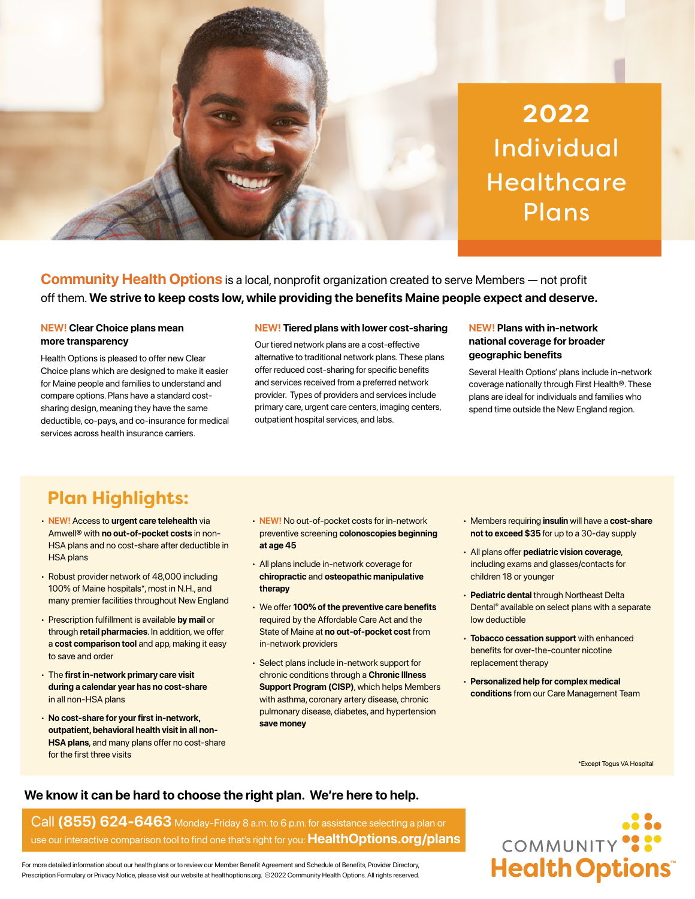

**Community Health Options** is a local, nonprofit organization created to serve Members — not profit off them. **We strive to keep costs low, while providing the benefits Maine people expect and deserve.**

### **NEW! Clear Choice plans mean more transparency**

Health Options is pleased to offer new Clear Choice plans which are designed to make it easier for Maine people and families to understand and compare options. Plans have a standard costsharing design, meaning they have the same deductible, co-pays, and co-insurance for medical services across health insurance carriers.

#### **NEW! Tiered plans with lower cost-sharing**

Our tiered network plans are a cost-effective alternative to traditional network plans. These plans offer reduced cost-sharing for specific benefits and services received from a preferred network provider. Types of providers and services include primary care, urgent care centers, imaging centers, outpatient hospital services, and labs.

### **NEW! Plans with in-network national coverage for broader geographic benefits**

Several Health Options' plans include in-network coverage nationally through First Health®. These plans are ideal for individuals and families who spend time outside the New England region.

# **Plan Highlights:**

- **NEW!** Access to **urgent care telehealth** via Amwell® with **no out-of-pocket costs** in non-HSA plans and no cost-share after deductible in HSA plans
- Robust provider network of 48,000 including 100% of Maine hospitals\*, most in N.H., and many premier facilities throughout New England
- Prescription fulfillment is available **by mail** or through **retail pharmacies**. In addition, we offer a **cost comparison tool** and app, making it easy to save and order
- The **first in-network primary care visit during a calendar year has no cost-share** in all non-HSA plans
- **No cost-share for your first in-network, outpatient, behavioral health visit in all non-HSA plans**, and many plans offer no cost-share for the first three visits
- **NEW!** No out-of-pocket costs for in-network preventive screening **colonoscopies beginning at age 45**
- All plans include in-network coverage for **chiropractic** and **osteopathic manipulative therapy**
- We offer **100% of the preventive care benefits** required by the Affordable Care Act and the State of Maine at **no out-of-pocket cost** from in-network providers
- Select plans include in-network support for chronic conditions through a **Chronic Illness Support Program (CISP)**, which helps Members with asthma, coronary artery disease, chronic pulmonary disease, diabetes, and hypertension **save money**
- Members requiring **insulin** will have a **cost-share not to exceed \$35** for up to a 30-day supply
- All plans offer **pediatric vision coverage**, including exams and glasses/contacts for children 18 or younger
- **Pediatric dental** through Northeast Delta Dental® available on select plans with a separate low deductible
- **Tobacco cessation support** with enhanced benefits for over-the-counter nicotine replacement therapy
- **Personalized help for complex medical conditions** from our Care Management Team

\*Except Togus VA Hospital

## **We know it can be hard to choose the right plan. We're here to help.**

## Call **(855) 624-6463** Monday-Friday 8 a.m. to 6 p.m. for assistance selecting a plan or use our interactive comparison tool to find one that's right for you: **[HealthOptions.org/plans](https://healthoptions.org/members/plans)**



For more detailed information about our health plans or to review our Member Benefit Agreement and Schedule of Benefits, Provider Directory, Prescription Formulary or Privacy Notice, please visit our website at healthoptions.org. ©2022 Community Health Options. All rights reserved.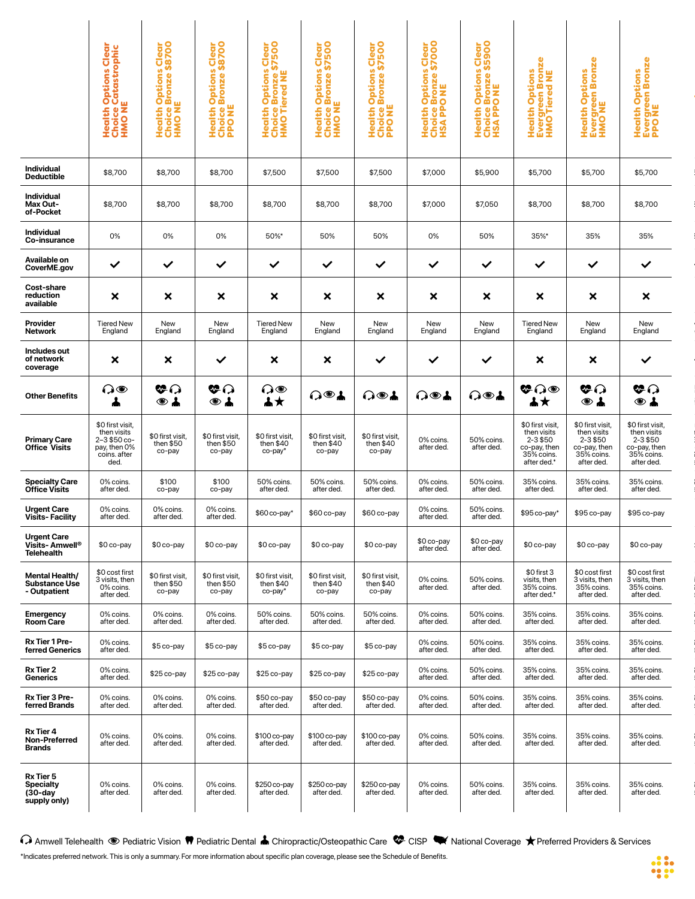|  |                                                                             |                                                                                        |                                                                                                                                                                                                                                           | RQ      |                                                                                                                                                                                                    |                                                                                                                                                                                                                                                                                                |                         |                                               |                                                                                                                                                                                                                                      |                                                |                                             |
|--|-----------------------------------------------------------------------------|----------------------------------------------------------------------------------------|-------------------------------------------------------------------------------------------------------------------------------------------------------------------------------------------------------------------------------------------|---------|----------------------------------------------------------------------------------------------------------------------------------------------------------------------------------------------------|------------------------------------------------------------------------------------------------------------------------------------------------------------------------------------------------------------------------------------------------------------------------------------------------|-------------------------|-----------------------------------------------|--------------------------------------------------------------------------------------------------------------------------------------------------------------------------------------------------------------------------------------|------------------------------------------------|---------------------------------------------|
|  |                                                                             |                                                                                        |                                                                                                                                                                                                                                           |         |                                                                                                                                                                                                    |                                                                                                                                                                                                                                                                                                |                         |                                               |                                                                                                                                                                                                                                      |                                                |                                             |
|  | Individual<br>Deductible                                                    | \$8,700                                                                                | $\frac{1}{2}$ \$8,700 $\frac{1}{2}$ \$8,700 $\frac{1}{2}$                                                                                                                                                                                 |         | \$7,500                                                                                                                                                                                            | $\frac{1}{2}$ \$7,500 $\frac{1}{2}$ \$7,500 $\frac{1}{2}$ \$7,000                                                                                                                                                                                                                              |                         | \$5,900                                       | \$5,700                                                                                                                                                                                                                              | \$5,700 \$5,700                                |                                             |
|  | Individual<br>Max Out-<br>of-Pocket                                         | \$8,700                                                                                | \$8,700                                                                                                                                                                                                                                   | \$8,700 | \$8,700<br>\$8,700                                                                                                                                                                                 | $\frac{$8,700}{}$                                                                                                                                                                                                                                                                              | \$7,000                 | \$7,050                                       | \$8,700                                                                                                                                                                                                                              | \$8.700                                        |                                             |
|  | Individual<br>Co-insurance<br>the control of the control of the             |                                                                                        | $0\%$                                                                                                                                                                                                                                     | $0\%$   | 50%*                                                                                                                                                                                               | 50%   50%                                                                                                                                                                                                                                                                                      | $\sim$ 0% and 1         | 50%                                           |                                                                                                                                                                                                                                      |                                                |                                             |
|  | Available on<br>CoverME.gov                                                 |                                                                                        |                                                                                                                                                                                                                                           |         |                                                                                                                                                                                                    |                                                                                                                                                                                                                                                                                                |                         |                                               |                                                                                                                                                                                                                                      | $\checkmark$ $\checkmark$                      |                                             |
|  | <b>Cost-share</b><br>reduction<br>available                                 |                                                                                        |                                                                                                                                                                                                                                           |         |                                                                                                                                                                                                    |                                                                                                                                                                                                                                                                                                |                         |                                               |                                                                                                                                                                                                                                      |                                                |                                             |
|  | Provider<br>Network                                                         |                                                                                        | New<br>England                                                                                                                                                                                                                            |         | Tiered New<br>England                                                                                                                                                                              | New<br>Enaland<br>' New<br>England                                                                                                                                                                                                                                                             | New<br>England          | New<br>England                                | Fiered New<br>Enaland                                                                                                                                                                                                                | New<br>England<br>New<br>England               |                                             |
|  | Includes out<br>of network<br>coverage                                      | $\mathsf{x}$ $\mathsf{x}$ $\mathsf{r}$                                                 |                                                                                                                                                                                                                                           |         |                                                                                                                                                                                                    |                                                                                                                                                                                                                                                                                                |                         |                                               |                                                                                                                                                                                                                                      |                                                |                                             |
|  |                                                                             |                                                                                        |                                                                                                                                                                                                                                           |         |                                                                                                                                                                                                    |                                                                                                                                                                                                                                                                                                |                         |                                               |                                                                                                                                                                                                                                      |                                                |                                             |
|  | <b>Other Benefits</b>                                                       |                                                                                        |                                                                                                                                                                                                                                           |         |                                                                                                                                                                                                    |                                                                                                                                                                                                                                                                                                |                         |                                               |                                                                                                                                                                                                                                      |                                                |                                             |
|  | Primary Care<br>Office Visits                                               | \$0 first visit<br>then visits<br>2–3 \$50 co-<br>pay, then 0%<br>coins. after<br>ded. | \$0 first visit, \$0 first visit,<br>then \$50 then \$50<br>co-pay co-pay                                                                                                                                                                 |         | $\begin{array}{c c}\n\text{\$0 first visit,} \\ \text{then $40$} \\ \text{co-pay*} \\ \end{array}$ $\begin{array}{c}\n\text{\$0 first visit,} \\ \text{then $40$} \\ \text{co-pay} \\ \end{array}$ | \$0 first visit,<br>then \$40<br>co-pay                                                                                                                                                                                                                                                        | 0% coins.<br>after ded. | 50% coins.<br>after ded.                      | \$0 first visit,<br>then visits<br>then visits<br>2-3 \$50 2-3 \$50 2-3 \$50<br>co-pay, then co-pay, then<br>35% coins.<br>35% coins.<br>after ded.<br>after ded.<br>after ded.<br>after ded.<br>after ded.                          |                                                | \$0 first visit,<br>then visits<br>2-3 \$50 |
|  | <b>Office Visits</b>                                                        |                                                                                        | co-pay                                                                                                                                                                                                                                    | co-pay  | 50% coins.<br>after ded.                                                                                                                                                                           | 50% coins.<br>after ded.<br>50% coins.<br>after ded.                                                                                                                                                                                                                                           | 0% coins.<br>after ded. | ou% coins.<br>after ded.                      | 35% coins.<br>after ded.                                                                                                                                                                                                             | 35% coins. 35% coins.<br>after ded. after ded. |                                             |
|  | Urgent Care<br>Visits- Facility                                             | 0% coins.<br>after ded.                                                                | 0% coins. 0% coins.<br>after ded. after ded.                                                                                                                                                                                              |         |                                                                                                                                                                                                    | $\frac{1}{2}$ \$60 co-pay* $\frac{1}{2}$ \$60 co-pay $\frac{1}{2}$ \$60 co-pay                                                                                                                                                                                                                 |                         | 0% coins. 50% coins.<br>after ded. after ded. | $\frac{1}{2}$ \$95 co-pay* $\frac{1}{2}$ \$95 co-pay $\frac{1}{2}$ \$95 co-pay                                                                                                                                                       |                                                |                                             |
|  | Urgent Care<br>Visits- Amwell®<br>Telehealth                                |                                                                                        |                                                                                                                                                                                                                                           |         |                                                                                                                                                                                                    |                                                                                                                                                                                                                                                                                                |                         |                                               |                                                                                                                                                                                                                                      |                                                |                                             |
|  | <b>Mental Health/<br/>Substance Use<br/>- Outpatient</b>                    | $$0 \cos t$ first<br>3 visits, then<br>0% coins.<br>after ded.                         |                                                                                                                                                                                                                                           |         |                                                                                                                                                                                                    | <sup>t</sup><br>\$0 first visit,<br>then \$50<br>co-pay<br>co-pay<br>co-pay<br>co-pay<br>then \$40<br>co-pay<br>co-pay<br>co-pay<br>co-pay<br>co-pay<br>co-pay<br>co-pay<br>co-pay<br>co-pay<br>co-pay<br>co-pay<br>co-pay<br>co-pay<br>co-pay<br>co-pay<br>co-pay<br>co-pay<br>co-pay<br>co-p |                         | 0% coins. 50% coins.<br>after ded. after ded. | \$0 first 3<br>visits, then 3 visits, then 3 visits, then 35% coins.<br>after ded.* after ded. after ded.<br>after ded.* after ded. after ded.                                                                                       |                                                |                                             |
|  |                                                                             |                                                                                        |                                                                                                                                                                                                                                           |         |                                                                                                                                                                                                    | 0% coins. 0% coins. 50% coins. 50% coins. 50% coins. 0% coins. 50% coins.<br>after ded. after ded. after ded. after ded. after ded. after ded. after ded.                                                                                                                                      |                         |                                               | 35% coins. 35% coins. 35% coins.<br>after ded. after ded. after ded.                                                                                                                                                                 |                                                |                                             |
|  |                                                                             |                                                                                        |                                                                                                                                                                                                                                           |         |                                                                                                                                                                                                    |                                                                                                                                                                                                                                                                                                |                         |                                               |                                                                                                                                                                                                                                      |                                                |                                             |
|  | Emergency<br>Room Care<br><u> The Communication of the Communication of</u> | 0% coins.<br>after ded.                                                                |                                                                                                                                                                                                                                           |         |                                                                                                                                                                                                    |                                                                                                                                                                                                                                                                                                |                         |                                               |                                                                                                                                                                                                                                      |                                                |                                             |
|  | Rx Tier 1 Pre-<br>ferred Generics                                           | 0% coins.<br>after ded.                                                                | s.<br>1. \$5 co-pay \$5 co-pay \$5 co-pay \$5 co-pay \$5 co-pay 0% coins. 50% coins. 35% coins. 35% coins. 35% coins. 35%<br>after ded. after ded. after ded. after ded. after ded. after ded. after ded. after ded. after ded. after ded |         |                                                                                                                                                                                                    | \$25 co-pay \$25 co-pay \$25 co-pay \$25 co-pay \$25 co-pay                                                                                                                                                                                                                                    |                         |                                               |                                                                                                                                                                                                                                      |                                                |                                             |
|  | Rx Tier 2<br>Generics                                                       | 0% coins.<br>after ded.<br>0% coins.<br>after ded.                                     |                                                                                                                                                                                                                                           |         |                                                                                                                                                                                                    |                                                                                                                                                                                                                                                                                                |                         |                                               | ay 0% coins. 50% coins. 35% coins. 35% coins. 35% coins.<br>after ded. after ded. after ded. after ded. after ded. after ded.                                                                                                        |                                                |                                             |
|  | Rx Tier 3 Pre-<br>ferred Brands                                             |                                                                                        |                                                                                                                                                                                                                                           |         |                                                                                                                                                                                                    |                                                                                                                                                                                                                                                                                                |                         |                                               | 0% coins. 0% coins. \$50 co-pay \$50 co-pay \$50 co-pay 0% coins. 50% coins. 35% coins. 35% coins. 35% coins. 35% coins.<br>after ded. after ded. after ded. after ded. after ded. after ded. after ded. after ded. after ded. after |                                                |                                             |
|  | Rx Tier 4<br>Non-Preferred<br>Brands                                        | 0% coins.<br>after ded.                                                                |                                                                                                                                                                                                                                           |         |                                                                                                                                                                                                    | 0% coins. 0% coins. \$100 co-pay \$100 co-pay \$100 co-pay 0% coins. 50% coins.<br>after ded. after ded. after ded. after ded. after ded. after ded. after ded.                                                                                                                                |                         |                                               | 35% coins. 35% coins. 35% coins.<br>after ded. after ded. after ded.                                                                                                                                                                 |                                                |                                             |
|  | Rx Tier 5<br>Specialty<br>(30-day<br>supply only)                           | 0% coins.<br>after ded.                                                                |                                                                                                                                                                                                                                           |         |                                                                                                                                                                                                    | 0% coins. 0% coins. \$250 co-pay \$250 co-pay \$250 co-pay 0% coins. 50% coins.<br>after ded. after ded. after ded. after ded. after ded. after ded. after ded.                                                                                                                                |                         |                                               | 35% coins. 35% coins. 35% coins.<br>after ded. after ded. after ded.                                                                                                                                                                 |                                                |                                             |

C Amwell Telehealth <sup>●</sup> Pediatric Vision ♥ Pediatric Dental ▲ Chiropractic/Osteopathic Care <sup>●</sup> CISP → National Coverage ★ Preferred Providers & Services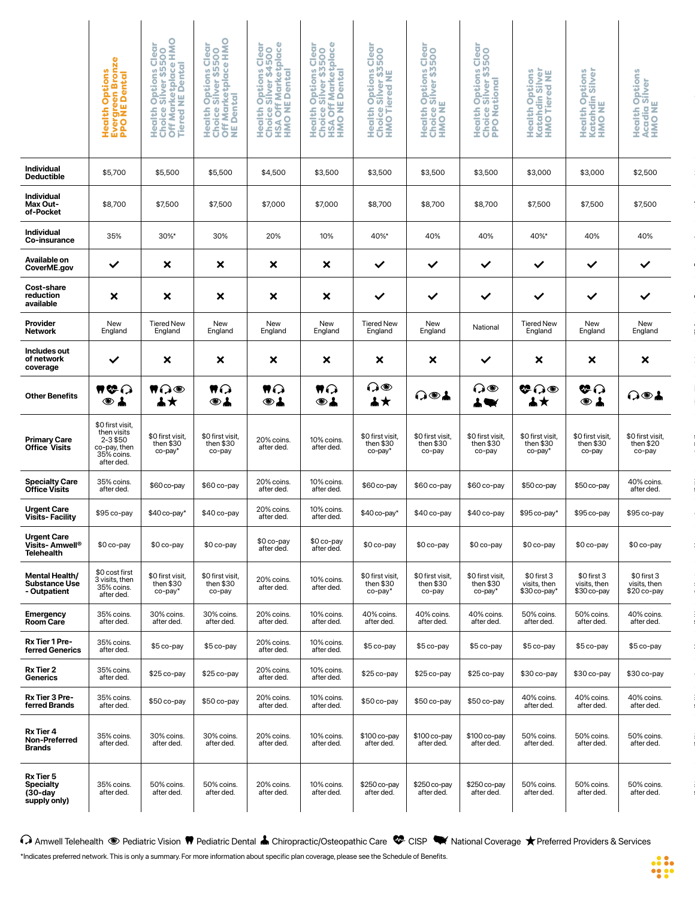| $\frac{1}{2} \left( \frac{1}{2} \right) \left( \frac{1}{2} \right) \left( \frac{1}{2} \right) \left( \frac{1}{2} \right) \left( \frac{1}{2} \right) \left( \frac{1}{2} \right) \left( \frac{1}{2} \right) \left( \frac{1}{2} \right) \left( \frac{1}{2} \right) \left( \frac{1}{2} \right) \left( \frac{1}{2} \right) \left( \frac{1}{2} \right) \left( \frac{1}{2} \right) \left( \frac{1}{2} \right) \left( \frac{1}{2} \right) \left( \frac{1}{2} \right) \left( \frac$                                                                        | <b>Heal</b><br>Hund<br>Hund                                                             | │ ¥Č\$º│ ¥Č\$₩│ ¥Čº¥ │ ¥Čº¥│ ¥Čº                                                                                                                                                                      |                                                                                                                                                                    | ទី ១ ៥                                                                                               |                                                                                                                                                                                                                          | سا ون<br>ς @ iΞ                                                                     | Clear<br>500<br>ိမ်း<br>$\mathbf{z} \circ \mathbf{z}$<br>エロエー                                 | $\bar{g}$ o<br>ှိ ဟ<br><b>ASS</b>         | $\frac{2}{5}$ $\frac{5}{5}$<br>ដ្ឋីទីន<br>ŎĔĔ<br>ŖŔĨĔ<br>Healt<br>Kata<br>HMO                                                                                                                                                                                                                                                                                                                                                  | $2\pi$<br>IYI                                  |                                                                |  |
|---------------------------------------------------------------------------------------------------------------------------------------------------------------------------------------------------------------------------------------------------------------------------------------------------------------------------------------------------------------------------------------------------------------------------------------------------------------------------------------------------------------------------------------------------|-----------------------------------------------------------------------------------------|-------------------------------------------------------------------------------------------------------------------------------------------------------------------------------------------------------|--------------------------------------------------------------------------------------------------------------------------------------------------------------------|------------------------------------------------------------------------------------------------------|--------------------------------------------------------------------------------------------------------------------------------------------------------------------------------------------------------------------------|-------------------------------------------------------------------------------------|-----------------------------------------------------------------------------------------------|-------------------------------------------|--------------------------------------------------------------------------------------------------------------------------------------------------------------------------------------------------------------------------------------------------------------------------------------------------------------------------------------------------------------------------------------------------------------------------------|------------------------------------------------|----------------------------------------------------------------|--|
| Individual<br>Deductible                                                                                                                                                                                                                                                                                                                                                                                                                                                                                                                          | \$5,700                                                                                 | \$5,500                                                                                                                                                                                               | \$5,500                                                                                                                                                            | \$4,500                                                                                              | \$3,500                                                                                                                                                                                                                  | $\frac{1}{2}$ \$3,500                                                               | \$3,500                                                                                       | \$3,500                                   | \$3,000                                                                                                                                                                                                                                                                                                                                                                                                                        | \$3,000                                        | \$2,500                                                        |  |
| <b>Contract Contract Contract Contract</b><br>Individual<br>Max Out-<br>of-Pocket                                                                                                                                                                                                                                                                                                                                                                                                                                                                 | \$8,700                                                                                 | \$7,500                                                                                                                                                                                               | \$7,500                                                                                                                                                            | \$7,000                                                                                              | \$7,000                                                                                                                                                                                                                  | \$8,700                                                                             | \$8,700                                                                                       | \$8,700                                   | \$7,500                                                                                                                                                                                                                                                                                                                                                                                                                        | \$7,500                                        | \$7,500                                                        |  |
| and the state of the state of the<br>Individual<br>Co-insurance                                                                                                                                                                                                                                                                                                                                                                                                                                                                                   | 35%                                                                                     | $30\%$ *                                                                                                                                                                                              | 30%                                                                                                                                                                | 20%                                                                                                  | 10%                                                                                                                                                                                                                      | 40%*                                                                                | 40%                                                                                           | 40%                                       | 40%*                                                                                                                                                                                                                                                                                                                                                                                                                           | 40%                                            | 40%                                                            |  |
| Available on<br>CoverME.gov                                                                                                                                                                                                                                                                                                                                                                                                                                                                                                                       |                                                                                         |                                                                                                                                                                                                       |                                                                                                                                                                    |                                                                                                      |                                                                                                                                                                                                                          |                                                                                     |                                                                                               |                                           |                                                                                                                                                                                                                                                                                                                                                                                                                                |                                                |                                                                |  |
|                                                                                                                                                                                                                                                                                                                                                                                                                                                                                                                                                   |                                                                                         | $\mathsf{x}$                                                                                                                                                                                          | $\mathsf{x}$ $\mathsf{x}$ $\mathsf{x}$                                                                                                                             |                                                                                                      |                                                                                                                                                                                                                          | $\sim$ $\sim$ $\sim$ $\sim$                                                         | $\checkmark$                                                                                  | $\boldsymbol{\vee}$                       | $\checkmark$                                                                                                                                                                                                                                                                                                                                                                                                                   |                                                |                                                                |  |
| <b>Cost-share</b><br>reduction<br>available<br>$\frac{1}{2} \left( \frac{1}{2} \right) \left( \frac{1}{2} \right) \left( \frac{1}{2} \right) \left( \frac{1}{2} \right) \left( \frac{1}{2} \right) \left( \frac{1}{2} \right) \left( \frac{1}{2} \right) \left( \frac{1}{2} \right) \left( \frac{1}{2} \right) \left( \frac{1}{2} \right) \left( \frac{1}{2} \right) \left( \frac{1}{2} \right) \left( \frac{1}{2} \right) \left( \frac{1}{2} \right) \left( \frac{1}{2} \right) \left( \frac{1}{2} \right) \left( \frac$                         |                                                                                         | $\mathsf{x}$                                                                                                                                                                                          | $\mathsf{X}$                                                                                                                                                       | $\mathsf{x}$                                                                                         | $\mathsf{X}$                                                                                                                                                                                                             | $\sim$ $\sim$                                                                       | $\checkmark$                                                                                  | $\sim$ $\sim$ $\sim$                      | $\checkmark$ .                                                                                                                                                                                                                                                                                                                                                                                                                 |                                                | $\sim$                                                         |  |
| Provider<br>Network<br>$\frac{1}{2} \left( \frac{1}{2} \right) \left( \frac{1}{2} \right) \left( \frac{1}{2} \right) \left( \frac{1}{2} \right) \left( \frac{1}{2} \right) \left( \frac{1}{2} \right) \left( \frac{1}{2} \right) \left( \frac{1}{2} \right) \left( \frac{1}{2} \right) \left( \frac{1}{2} \right) \left( \frac{1}{2} \right) \left( \frac{1}{2} \right) \left( \frac{1}{2} \right) \left( \frac{1}{2} \right) \left( \frac{1}{2} \right) \left( \frac{1}{2} \right) \left( \frac$                                                 | New<br>England                                                                          | Tiered New<br>England                                                                                                                                                                                 | New<br>England                                                                                                                                                     | New<br>England                                                                                       | New<br>England                                                                                                                                                                                                           | Tiered New<br>England                                                               | <b>New</b><br>England                                                                         | National                                  | Tiered New<br>England                                                                                                                                                                                                                                                                                                                                                                                                          | New<br>England                                 | New<br>England<br>the control of the control of the control of |  |
| Includes out<br>of network<br>coverage                                                                                                                                                                                                                                                                                                                                                                                                                                                                                                            |                                                                                         | $\mathsf{x}$                                                                                                                                                                                          | $\mathsf{x}$ $\mathsf{x}$ $\mathsf{x}$ $\mathsf{x}$                                                                                                                |                                                                                                      |                                                                                                                                                                                                                          |                                                                                     | $\mathsf{x}$                                                                                  | $\sim$                                    | $\mathsf{X}$                                                                                                                                                                                                                                                                                                                                                                                                                   | $\mathsf{x}$                                   | $\mathsf{x}$                                                   |  |
| <b>Contract Contract Contract Contract</b><br><b>Other Benefits</b><br>$\frac{1}{2} \left( \frac{1}{2} \right) \left( \frac{1}{2} \right) \left( \frac{1}{2} \right) \left( \frac{1}{2} \right) \left( \frac{1}{2} \right) \left( \frac{1}{2} \right) \left( \frac{1}{2} \right) \left( \frac{1}{2} \right) \left( \frac{1}{2} \right) \left( \frac{1}{2} \right) \left( \frac{1}{2} \right) \left( \frac{1}{2} \right) \left( \frac{1}{2} \right) \left( \frac{1}{2} \right) \left( \frac{1}{2} \right) \left( \frac{1}{2} \right) \left( \frac$ | <b>HGU</b>                                                                              | $  \bullet \Omega \circledcirc  $<br>▲★                                                                                                                                                               | $\blacksquare$<br>$\overline{\phantom{a}}$                                                                                                                         |                                                                                                      | $\begin{array}{ c c c c c }\hline \textbf{v}{\Omega} & \textbf{v}{\Omega} & \textbf{v}{\Omega} & \textbf{v} \\ \hline \textbf{v}{\mathbf{a}} & \textbf{v}{\mathbf{a}} & \textbf{a}{\mathbf{b}} & \textbf{v} \end{array}$ |                                                                                     | ∩⊛∔                                                                                           |                                           | $\begin{array}{ c c c c }\hline \textbf{A} & \textbf{A} & \textbf{B} & \textbf{B} & \textbf{B} \ \hline \textbf{A} & \textbf{A} & \textbf{A} & \textbf{B} & \textbf{B} & \textbf{B} \ \hline \textbf{A} & \textbf{A} & \textbf{A} & \textbf{B} & \textbf{B} & \textbf{B} & \textbf{B} & \textbf{B} \ \hline \textbf{A} & \textbf{A} & \textbf{B} & \textbf{B} & \textbf{B} & \textbf{B} & \textbf{B} & \textbf{B} & \textbf{B$ |                                                | $\sim$                                                         |  |
| <b>Primary Care<br/>Office Visits</b>                                                                                                                                                                                                                                                                                                                                                                                                                                                                                                             | \$0 first visit,<br>then visits<br>2-3 \$50<br>co-pay, then<br>35% coins.<br>after ded. | \$0 first visit,<br>then \$30<br>co-pay*                                                                                                                                                              | $$0$ first visit,<br>then $$30$<br>co-pay                                                                                                                          | 20% coins. 10% coins.<br>after ded. after ded.                                                       |                                                                                                                                                                                                                          | co-pay*                                                                             | \$0 first visit, \$0 first visit, \$0 first visit,<br>then \$30 then \$30 then \$30<br>co-pay | co-pay                                    | \$0 first visit,<br>then \$30<br>co-pay*                                                                                                                                                                                                                                                                                                                                                                                       | \$0 first visit,<br>then \$30<br>co-pay        | $\frac{1}{2}$ \$0 first visit<br>then \$20<br>co-pay           |  |
| Specialty Care<br>Office Visits                                                                                                                                                                                                                                                                                                                                                                                                                                                                                                                   | 35% coins.<br>after ded.                                                                | \$60 co-pay \$60 co-pay                                                                                                                                                                               |                                                                                                                                                                    | 20% coins. 10% coins.<br>after ded. after ded.                                                       |                                                                                                                                                                                                                          |                                                                                     |                                                                                               |                                           | \$60 co-pay   \$60 co-pay   \$60 co-pay   \$50 co-pay                                                                                                                                                                                                                                                                                                                                                                          | 550 co-pay \$                                  | 40% coins.<br>after ded.                                       |  |
| Urgent Care<br>Visits- Facility                                                                                                                                                                                                                                                                                                                                                                                                                                                                                                                   |                                                                                         | $$95$ co-pay $  $40$ co-pay* $  $40$ co-pay                                                                                                                                                           |                                                                                                                                                                    | 20% coins. 10% coins.<br>after ded. after ded.                                                       |                                                                                                                                                                                                                          |                                                                                     |                                                                                               |                                           | \$40 co-pay*   \$40 co-pay   \$40 co-pay   \$95 co-pay*   \$95 co-pay   \$95 co-pay                                                                                                                                                                                                                                                                                                                                            |                                                |                                                                |  |
| Urgent Care<br>Visits- Amwell® \$0 co-pay \$0 co-pay \$0 co-pay  <br>Telehealth                                                                                                                                                                                                                                                                                                                                                                                                                                                                   |                                                                                         |                                                                                                                                                                                                       |                                                                                                                                                                    | $$0 co-pay$ $$0 co-pay$ after ded. after ded.                                                        |                                                                                                                                                                                                                          |                                                                                     |                                                                                               |                                           | \$0co-pay   \$0co-pay   \$0co-pay   \$0co-pay   \$0co-pay   \$0co-pay                                                                                                                                                                                                                                                                                                                                                          |                                                |                                                                |  |
| Mental Health/<br>Substance Use<br>- Outpatient                                                                                                                                                                                                                                                                                                                                                                                                                                                                                                   | \$0 cost first<br>3 visits, then<br>35% coins.<br>after ded.                            | \$0 first visit,<br>then \$30<br>co-pay*                                                                                                                                                              | \$0 first visit,<br>then \$30<br>co-pay                                                                                                                            | 20% coins.<br>after ded.                                                                             | 10% coins.<br>after ded.                                                                                                                                                                                                 | $\begin{array}{ c } \n\hline\n\end{array}$ \$0 first visit,<br>then \$30<br>co-pay* | $$0$ first visit,<br>then \$30<br>co-pay                                                      | $$0$ first visit,<br>then \$30<br>co-pay* | $$0 \text{ first } 3$<br>visits, then<br>$$30 \text{ co-pay}^*$<br>$$30 \text{ co-pay}^*$<br>$$30 \text{ co-pay}$<br>$$30 \text{ co-pay}$<br>$$20 \text{ co-pay}$                                                                                                                                                                                                                                                              |                                                |                                                                |  |
| $\begin{tabular}{ll} \multicolumn{2}{c} {\textbf{1}} & \multicolumn{2}{c} {\textbf{1}} & \multicolumn{2}{c} {\textbf{1}} \\ \multicolumn{2}{c} {\textbf{2}} & \multicolumn{2}{c} {\textbf{3}} & \multicolumn{2}{c} {\textbf{4}} \\ \multicolumn{2}{c} {\textbf{4}} & \multicolumn{2}{c} {\textbf{5}} & \multicolumn{2}{c} {\textbf{6}} \\ \multicolumn{2}{c} {\textbf{5}} & \multicolumn{2}{c} {\textbf{6}} & \multicolumn{2}{c} {\textbf{6}} \\ \multicolumn{2}{c} {\textbf{6}} & \multicolumn$<br>Emergency<br>Room Care                        | the control of the control of the<br>35% coins.<br>after ded.                           | 30% coins.<br>after ded.                                                                                                                                                                              | 30% coins.<br>after ded.                                                                                                                                           | 20% coins. 10% coins.<br>after ded. after ded.                                                       |                                                                                                                                                                                                                          | $\begin{vmatrix} 40\% \text{ coins.} \\ \text{after ded.} \end{vmatrix}$            |                                                                                               |                                           | 40% coins. 40% coins. 50% coins.<br>after ded. after ded. after ded.                                                                                                                                                                                                                                                                                                                                                           | 50% coins. 40% coins.<br>after ded. after ded. | the control of the control of the control of                   |  |
| Rx Tier 1 Pre-<br>ferred Generics                                                                                                                                                                                                                                                                                                                                                                                                                                                                                                                 | 35% coins.<br>after ded.                                                                | $$5$ co-pay $$5$ co-pay                                                                                                                                                                               |                                                                                                                                                                    | 20% coins. 10% coins.<br>after ded. after ded.                                                       |                                                                                                                                                                                                                          |                                                                                     |                                                                                               |                                           | \$5 co-pay \$5 co-pay \$5 co-pay \$5 co-pay \$5 co-pay \$5 co-pay                                                                                                                                                                                                                                                                                                                                                              |                                                | and the control of the control of                              |  |
| Rx Tier 2<br>Generics                                                                                                                                                                                                                                                                                                                                                                                                                                                                                                                             | 35% coins.<br>after ded.                                                                | \$25 co-pay \$25 co-pay 20% coins.<br>after ded. after ded. after ded.                                                                                                                                |                                                                                                                                                                    |                                                                                                      |                                                                                                                                                                                                                          |                                                                                     |                                                                                               |                                           | │ \$25 co-pay │ \$25 co-pay │ \$25 co-pay │ \$30 co-pay │ \$30 co-pay │ \$30 co-pay                                                                                                                                                                                                                                                                                                                                            |                                                |                                                                |  |
| Rx Tier 3 Pre-<br>ferred Brands                                                                                                                                                                                                                                                                                                                                                                                                                                                                                                                   | 35% coins.<br>after ded.                                                                | $$50$ co-pay $$50$ co-pay                                                                                                                                                                             |                                                                                                                                                                    | <u> 1989 - John Stein, Amerikaansk politiker (</u><br>20% coins. 10% coins.<br>after ded. after ded. |                                                                                                                                                                                                                          |                                                                                     | $\frac{1}{2}$ \$50 co-pay $\frac{1}{2}$ \$50 co-pay $\frac{1}{2}$ \$50 co-pay $\frac{1}{2}$   |                                           | 40% coins.<br>after ded.                                                                                                                                                                                                                                                                                                                                                                                                       | 40% coins. 40% coins.<br>after ded. after ded. |                                                                |  |
|                                                                                                                                                                                                                                                                                                                                                                                                                                                                                                                                                   |                                                                                         |                                                                                                                                                                                                       |                                                                                                                                                                    |                                                                                                      |                                                                                                                                                                                                                          |                                                                                     |                                                                                               |                                           |                                                                                                                                                                                                                                                                                                                                                                                                                                |                                                |                                                                |  |
| Rx Tier 4<br>Non-Preferred<br>Brands                                                                                                                                                                                                                                                                                                                                                                                                                                                                                                              | 35% coins.<br>after ded.                                                                | 30% coins. 30% coins. 20% coins. 10% coins. \$100 co-pay \$100 co-pay \$100 co-pay \$100 co-pay 50% coins.<br>after ded. after ded. after ded. after ded. after ded. after ded. after ded. after ded. |                                                                                                                                                                    |                                                                                                      |                                                                                                                                                                                                                          |                                                                                     |                                                                                               |                                           |                                                                                                                                                                                                                                                                                                                                                                                                                                | 50% coins. 50% coins.<br>after ded. after ded. |                                                                |  |
| Rx Tier 5<br>Specialty<br>(30-day<br>supply only)                                                                                                                                                                                                                                                                                                                                                                                                                                                                                                 | 35% coins.<br>after ded.                                                                | 50% coins.<br>after ded.                                                                                                                                                                              | 50% coins. 20% coins. 10% coins. \$250 co-pay \$250 co-pay \$250 co-pay 50% coins.<br>after ded. after ded. after ded. after ded. after ded. after ded. after ded. |                                                                                                      |                                                                                                                                                                                                                          |                                                                                     |                                                                                               |                                           |                                                                                                                                                                                                                                                                                                                                                                                                                                | 50% coins.<br>after ded.                       | 50% coins.<br>after ded.                                       |  |
|                                                                                                                                                                                                                                                                                                                                                                                                                                                                                                                                                   |                                                                                         |                                                                                                                                                                                                       |                                                                                                                                                                    |                                                                                                      |                                                                                                                                                                                                                          |                                                                                     |                                                                                               |                                           |                                                                                                                                                                                                                                                                                                                                                                                                                                |                                                |                                                                |  |

C Amwell Telehealth <sup>●</sup> Pediatric Vision ♥ Pediatric Dental ▲ Chiropractic/Osteopathic Care <sup>●</sup> CISP → National Coverage ★ Preferred Providers & Services